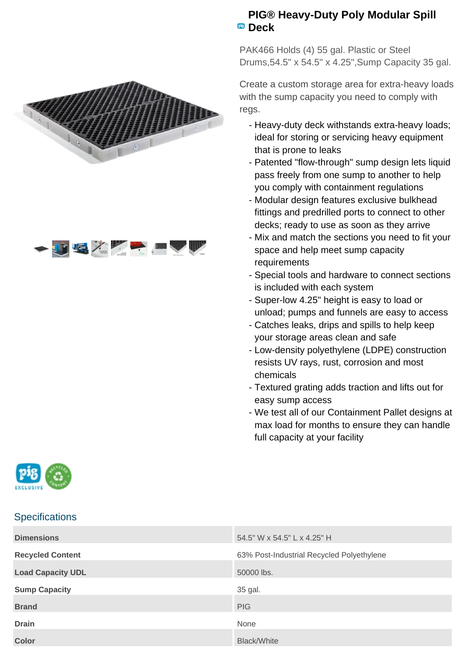



## **PIG® Heavy-Duty Poly Modular Spill Deck**

PAK466 Holds (4) 55 gal. Plastic or Steel Drums,54.5" x 54.5" x 4.25",Sump Capacity 35 gal.

Create a custom storage area for extra-heavy loads with the sump capacity you need to comply with regs.

- Heavy-duty deck withstands extra-heavy loads; ideal for storing or servicing heavy equipment that is prone to leaks
- Patented "flow-through" sump design lets liquid pass freely from one sump to another to help you comply with containment regulations
- Modular design features exclusive bulkhead fittings and predrilled ports to connect to other decks; ready to use as soon as they arrive
- Mix and match the sections you need to fit your space and help meet sump capacity requirements
- Special tools and hardware to connect sections is included with each system
- Super-low 4.25" height is easy to load or unload; pumps and funnels are easy to access
- Catches leaks, drips and spills to help keep your storage areas clean and safe
- Low-density polyethylene (LDPE) construction resists UV rays, rust, corrosion and most chemicals
- Textured grating adds traction and lifts out for easy sump access
- We test all of our Containment Pallet designs at max load for months to ensure they can handle full capacity at your facility



## **Specifications**

| <b>Dimensions</b>        | 54.5" W x 54.5" L x 4.25" H               |
|--------------------------|-------------------------------------------|
| <b>Recycled Content</b>  | 63% Post-Industrial Recycled Polyethylene |
| <b>Load Capacity UDL</b> | 50000 lbs.                                |
| <b>Sump Capacity</b>     | 35 gal.                                   |
| <b>Brand</b>             | <b>PIG</b>                                |
| <b>Drain</b>             | None                                      |
| <b>Color</b>             | <b>Black/White</b>                        |